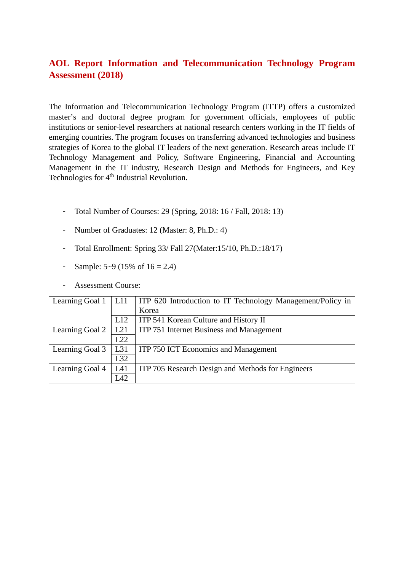# **AOL Report Information and Telecommunication Technology Program Assessment (2018)**

The Information and Telecommunication Technology Program (ITTP) offers a customized master's and doctoral degree program for government officials, employees of public institutions or senior-level researchers at national research centers working in the IT fields of emerging countries. The program focuses on transferring advanced technologies and business strategies of Korea to the global IT leaders of the next generation. Research areas include IT Technology Management and Policy, Software Engineering, Financial and Accounting Management in the IT industry, Research Design and Methods for Engineers, and Key Technologies for 4<sup>th</sup> Industrial Revolution.

- Total Number of Courses: 29 (Spring, 2018: 16 / Fall, 2018: 13)
- Number of Graduates: 12 (Master: 8, Ph.D.: 4)
- Total Enrollment: Spring 33/ Fall 27(Mater:15/10, Ph.D.:18/17)
- Sample:  $5-9$  (15% of  $16 = 2.4$ )
- Assessment Course:

| Learning Goal 1 | L11 | <b>ITP 620 Introduction to IT Technology Management/Policy in</b> |
|-----------------|-----|-------------------------------------------------------------------|
|                 |     | Korea                                                             |
|                 | L12 | ITP 541 Korean Culture and History II                             |
| Learning Goal 2 | L21 | ITP 751 Internet Business and Management                          |
|                 | L22 |                                                                   |
| Learning Goal 3 | L31 | ITP 750 ICT Economics and Management                              |
|                 | L32 |                                                                   |
| Learning Goal 4 | L41 | ITP 705 Research Design and Methods for Engineers                 |
|                 | L42 |                                                                   |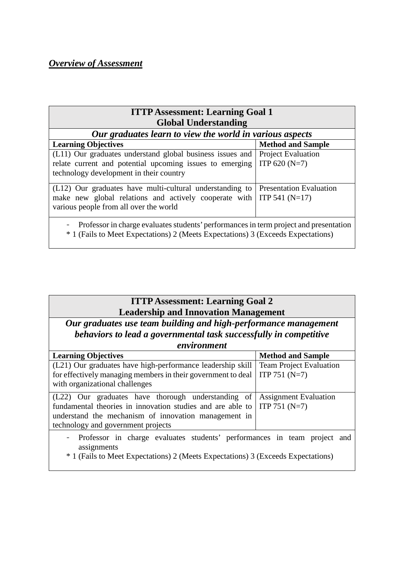## *Overview of Assessment*

| <b>ITTP Assessment: Learning Goal 1</b><br><b>Global Understanding</b>                                                                                                    |                                                    |  |  |  |  |  |  |  |  |
|---------------------------------------------------------------------------------------------------------------------------------------------------------------------------|----------------------------------------------------|--|--|--|--|--|--|--|--|
| Our graduates learn to view the world in various aspects                                                                                                                  |                                                    |  |  |  |  |  |  |  |  |
| <b>Learning Objectives</b>                                                                                                                                                | <b>Method and Sample</b>                           |  |  |  |  |  |  |  |  |
| (L11) Our graduates understand global business issues and<br>relate current and potential upcoming issues to emerging<br>technology development in their country          | <b>Project Evaluation</b><br>ITP 620 (N=7)         |  |  |  |  |  |  |  |  |
| (L12) Our graduates have multi-cultural understanding to<br>make new global relations and actively cooperate with<br>various people from all over the world               | <b>Presentation Evaluation</b><br>ITP 541 $(N=17)$ |  |  |  |  |  |  |  |  |
| Professor in charge evaluates students' performances in term project and presentation<br>* 1 (Fails to Meet Expectations) 2 (Meets Expectations) 3 (Exceeds Expectations) |                                                    |  |  |  |  |  |  |  |  |

| <b>ITTP Assessment: Learning Goal 2</b>     |  |
|---------------------------------------------|--|
| <b>Leadership and Innovation Management</b> |  |

*Our graduates use team building and high-performance management behaviors to lead a governmental task successfully in competitive environment*

| envu onmeni                                                                                 |                                |  |  |  |
|---------------------------------------------------------------------------------------------|--------------------------------|--|--|--|
| <b>Learning Objectives</b>                                                                  | <b>Method and Sample</b>       |  |  |  |
| (L21) Our graduates have high-performance leadership skill                                  | <b>Team Project Evaluation</b> |  |  |  |
| for effectively managing members in their government to deal                                | ITP 751 $(N=7)$                |  |  |  |
| with organizational challenges                                                              |                                |  |  |  |
| (L22) Our graduates have thorough understanding of                                          | <b>Assignment Evaluation</b>   |  |  |  |
| fundamental theories in innovation studies and are able to $\vert$ ITP 751 (N=7)            |                                |  |  |  |
| understand the mechanism of innovation management in                                        |                                |  |  |  |
| technology and government projects                                                          |                                |  |  |  |
| - Professor in charge evaluates students' performances in team project and<br>assignments   |                                |  |  |  |
| <sup>*</sup> 1 (Fails to Meet Expectations) 2 (Meets Expectations) 3 (Exceeds Expectations) |                                |  |  |  |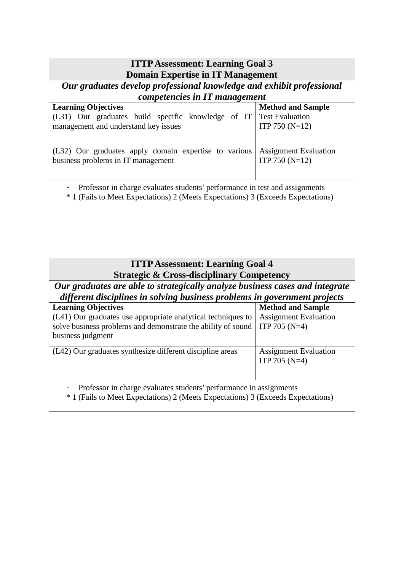| <b>ITTP Assessment: Learning Goal 3</b>                                          |                              |  |  |  |  |  |  |  |  |
|----------------------------------------------------------------------------------|------------------------------|--|--|--|--|--|--|--|--|
| <b>Domain Expertise in IT Management</b>                                         |                              |  |  |  |  |  |  |  |  |
|                                                                                  |                              |  |  |  |  |  |  |  |  |
| Our graduates develop professional knowledge and exhibit professional            |                              |  |  |  |  |  |  |  |  |
| competencies in IT management                                                    |                              |  |  |  |  |  |  |  |  |
| <b>Learning Objectives</b>                                                       | <b>Method and Sample</b>     |  |  |  |  |  |  |  |  |
| (L31) Our graduates build specific knowledge of IT                               | <b>Test Evaluation</b>       |  |  |  |  |  |  |  |  |
| management and understand key issues                                             | ITP 750 $(N=12)$             |  |  |  |  |  |  |  |  |
|                                                                                  |                              |  |  |  |  |  |  |  |  |
|                                                                                  |                              |  |  |  |  |  |  |  |  |
| (L32) Our graduates apply domain expertise to various                            | <b>Assignment Evaluation</b> |  |  |  |  |  |  |  |  |
| business problems in IT management                                               | ITP 750 $(N=12)$             |  |  |  |  |  |  |  |  |
|                                                                                  |                              |  |  |  |  |  |  |  |  |
|                                                                                  |                              |  |  |  |  |  |  |  |  |
| Professor in charge evaluates students' performance in test and assignments      |                              |  |  |  |  |  |  |  |  |
|                                                                                  |                              |  |  |  |  |  |  |  |  |
| * 1 (Fails to Meet Expectations) 2 (Meets Expectations) 3 (Exceeds Expectations) |                              |  |  |  |  |  |  |  |  |
|                                                                                  |                              |  |  |  |  |  |  |  |  |

| <b>ITTP Assessment: Learning Goal 4</b><br><b>Strategic &amp; Cross-disciplinary Competency</b>                                                           |                                                 |  |  |  |  |  |  |  |  |
|-----------------------------------------------------------------------------------------------------------------------------------------------------------|-------------------------------------------------|--|--|--|--|--|--|--|--|
| Our graduates are able to strategically analyze business cases and integrate<br>different disciplines in solving business problems in government projects |                                                 |  |  |  |  |  |  |  |  |
| <b>Learning Objectives</b>                                                                                                                                | <b>Method and Sample</b>                        |  |  |  |  |  |  |  |  |
| (L41) Our graduates use appropriate analytical techniques to<br>solve business problems and demonstrate the ability of sound<br>business judgment         | <b>Assignment Evaluation</b><br>ITP 705 $(N=4)$ |  |  |  |  |  |  |  |  |
| (L42) Our graduates synthesize different discipline areas                                                                                                 | <b>Assignment Evaluation</b><br>ITP 705 $(N=4)$ |  |  |  |  |  |  |  |  |
| Professor in charge evaluates students' performance in assignments<br>* 1 (Fails to Meet Expectations) 2 (Meets Expectations) 3 (Exceeds Expectations)    |                                                 |  |  |  |  |  |  |  |  |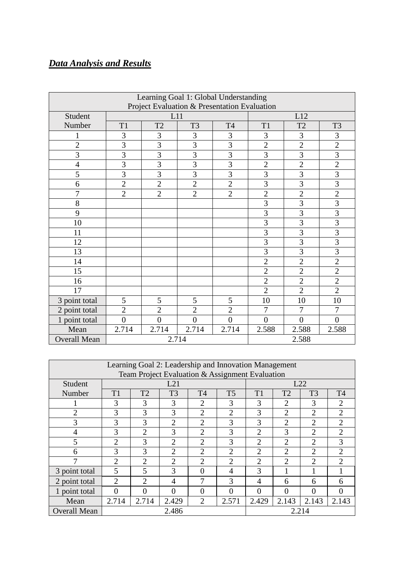# *Data Analysis and Results*

| Learning Goal 1: Global Understanding        |                |                |                |                |                |                |                |  |  |
|----------------------------------------------|----------------|----------------|----------------|----------------|----------------|----------------|----------------|--|--|
| Project Evaluation & Presentation Evaluation |                |                |                |                |                |                |                |  |  |
| Student                                      |                | L11            |                |                | L12            |                |                |  |  |
| Number                                       | T <sub>1</sub> | T <sub>2</sub> | T <sub>3</sub> | <b>T4</b>      | T1             | T <sub>2</sub> | T <sub>3</sub> |  |  |
| 1                                            | 3              | 3              | 3              | 3              | 3              | 3              | 3              |  |  |
| $\overline{2}$                               | $\overline{3}$ | 3              | $\overline{3}$ | $\overline{3}$ | $\overline{2}$ | $\overline{2}$ | $\overline{2}$ |  |  |
| $\overline{3}$                               | $\overline{3}$ | $\overline{3}$ | $\overline{3}$ | $\overline{3}$ | $\overline{3}$ | 3              | $\overline{3}$ |  |  |
| $\overline{4}$                               | $\overline{3}$ | 3              | 3              | $\overline{3}$ | $\overline{2}$ | $\overline{2}$ | $\overline{2}$ |  |  |
| 5                                            | $\overline{3}$ | 3              | $\overline{3}$ | $\overline{3}$ | 3              | 3              | $\overline{3}$ |  |  |
| 6                                            | $\overline{2}$ | $\overline{2}$ | $\overline{2}$ | $\overline{2}$ | $\overline{3}$ | 3              | $\overline{3}$ |  |  |
| $\overline{7}$                               | $\overline{2}$ | $\overline{2}$ | $\overline{2}$ | $\overline{2}$ | $\overline{2}$ | $\overline{2}$ | $\overline{2}$ |  |  |
| 8                                            |                |                |                |                | 3              | 3              | $\overline{3}$ |  |  |
| 9                                            |                |                |                |                | 3              | 3              | $\overline{3}$ |  |  |
| 10                                           |                |                |                |                | 3              | $\overline{3}$ | $\overline{3}$ |  |  |
| 11                                           |                |                |                |                | 3              | 3              | $\overline{3}$ |  |  |
| 12                                           |                |                |                |                | $\overline{3}$ | $\overline{3}$ | $\overline{3}$ |  |  |
| 13                                           |                |                |                |                | 3              | 3              | $\overline{3}$ |  |  |
| 14                                           |                |                |                |                | $\overline{2}$ | $\overline{2}$ | $\overline{2}$ |  |  |
| 15                                           |                |                |                |                | $\overline{2}$ | $\overline{2}$ | $\overline{2}$ |  |  |
| 16                                           |                |                |                |                | $\overline{2}$ | $\overline{2}$ | $\overline{2}$ |  |  |
| 17                                           |                |                |                |                | $\overline{2}$ | $\overline{2}$ | $\overline{2}$ |  |  |
| 3 point total                                | 5              | 5              | 5              | 5              | 10             | 10             | 10             |  |  |
| 2 point total                                | $\overline{2}$ | $\overline{2}$ | $\overline{2}$ | $\overline{2}$ | $\overline{7}$ | $\overline{7}$ | 7              |  |  |
| 1 point total                                | $\overline{0}$ | $\theta$       | $\theta$       | $\theta$       | $\theta$       | $\overline{0}$ | $\theta$       |  |  |
| Mean                                         | 2.714          | 2.714          | 2.714          | 2.714          | 2.588          | 2.588          | 2.588          |  |  |
| <b>Overall Mean</b>                          |                | 2.714          |                |                |                | 2.588          |                |  |  |

| Learning Goal 2: Leadership and Innovation Management |                |                       |                |                |                |                             |                |                |                             |
|-------------------------------------------------------|----------------|-----------------------|----------------|----------------|----------------|-----------------------------|----------------|----------------|-----------------------------|
| Team Project Evaluation & Assignment Evaluation       |                |                       |                |                |                |                             |                |                |                             |
| Student                                               |                |                       | L21            |                |                | L22                         |                |                |                             |
| Number                                                | T1             | T <sub>2</sub>        | T <sub>3</sub> | T <sub>4</sub> | T <sub>5</sub> | T1                          | T2             | T <sub>3</sub> | T <sub>4</sub>              |
|                                                       | 3              | 3                     | 3              | $\overline{2}$ | 3              | 3                           | $\overline{2}$ | 3              | $\mathcal{D}_{\mathcal{L}}$ |
| $\overline{2}$                                        | 3              | 3                     | 3              | $\overline{2}$ | $\overline{2}$ | 3                           | $\overline{2}$ | $\overline{2}$ | $\overline{2}$              |
| 3                                                     | 3              | 3                     | $\overline{2}$ | $\overline{2}$ | 3              | 3                           | $\overline{2}$ | $\overline{2}$ | $\mathcal{D}$               |
| $\overline{4}$                                        | 3              | $\overline{2}$        | 3              | $\overline{2}$ | 3              | $\overline{2}$              | 3              | $\overline{2}$ | $\overline{2}$              |
| 5                                                     | $\overline{2}$ | 3                     | $\overline{2}$ | $\overline{2}$ | 3              | $\overline{2}$              | $\overline{2}$ | $\overline{2}$ | 3                           |
| 6                                                     | 3              | 3                     | $\overline{2}$ | $\overline{2}$ | $\overline{2}$ | $\mathcal{D}_{\mathcal{A}}$ | 2              | $\overline{2}$ | $\overline{2}$              |
| 7                                                     | $\overline{2}$ | $\overline{2}$        | $\overline{2}$ | $\overline{2}$ | $\overline{2}$ | $\overline{2}$              | $\overline{2}$ | $\overline{2}$ | $\mathcal{D}$               |
| 3 point total                                         | 5              | 5                     | 3              | 0              | 4              | 3                           |                |                |                             |
| 2 point total                                         | $\overline{2}$ | $\mathcal{D}_{\cdot}$ | 4              | 7              | 3              | 4                           | 6              | 6              | 6                           |
| 1 point total                                         | 0              | ∩                     | $\Omega$       | 0              | 0              | ∩                           | 0              | 0              | 0                           |
| Mean                                                  | 2.714          | 2.714                 | 2.429          | $\overline{2}$ | 2.571          | 2.429                       | 2.143          | 2.143          | 2.143                       |
| <b>Overall Mean</b>                                   |                |                       | 2.486          |                |                | 2.214                       |                |                |                             |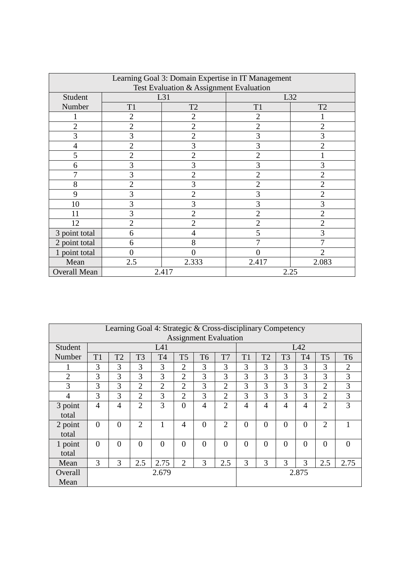| Learning Goal 3: Domain Expertise in IT Management<br>Test Evaluation & Assignment Evaluation |                |                |                |                |  |  |  |  |  |
|-----------------------------------------------------------------------------------------------|----------------|----------------|----------------|----------------|--|--|--|--|--|
| Student                                                                                       |                | L31            |                | L32            |  |  |  |  |  |
| Number                                                                                        | T <sub>1</sub> | T <sub>2</sub> | T1             | T <sub>2</sub> |  |  |  |  |  |
|                                                                                               | 2              | 2              | 2              |                |  |  |  |  |  |
| $\overline{2}$                                                                                | $\overline{2}$ | $\overline{2}$ | $\overline{2}$ | $\overline{2}$ |  |  |  |  |  |
| 3                                                                                             | 3              | 2              | 3              | 3              |  |  |  |  |  |
| $\overline{4}$                                                                                | $\overline{2}$ | 3              | 3              | $\overline{2}$ |  |  |  |  |  |
| 5                                                                                             | $\overline{2}$ | $\overline{2}$ | $\overline{2}$ |                |  |  |  |  |  |
| 6                                                                                             | 3              | 3              | 3              | 3              |  |  |  |  |  |
| 7                                                                                             | 3              | $\overline{2}$ | $\overline{2}$ | 2              |  |  |  |  |  |
| 8                                                                                             | $\overline{2}$ | 3              | $\overline{2}$ | $\overline{2}$ |  |  |  |  |  |
| 9                                                                                             | 3              | 2              | 3              | 2              |  |  |  |  |  |
| 10                                                                                            | 3              | 3              | 3              | 3              |  |  |  |  |  |
| 11                                                                                            | 3              | 2              | $\overline{2}$ | 2              |  |  |  |  |  |
| 12                                                                                            | $\overline{2}$ | $\overline{2}$ | $\overline{2}$ | $\overline{2}$ |  |  |  |  |  |
| 3 point total                                                                                 | 6              | 4              | 5              | 3              |  |  |  |  |  |
| 2 point total                                                                                 | 6              | 8              |                |                |  |  |  |  |  |
| 1 point total                                                                                 | 0              | 0              |                | 2              |  |  |  |  |  |
| Mean                                                                                          | 2.5            | 2.333          | 2.417          | 2.083          |  |  |  |  |  |
| <b>Overall Mean</b>                                                                           | 2.417<br>2.25  |                |                |                |  |  |  |  |  |

| Learning Goal 4: Strategic & Cross-disciplinary Competency<br><b>Assignment Evaluation</b> |                |                |                |                |                |                |                |                |                |                |                |                |                |
|--------------------------------------------------------------------------------------------|----------------|----------------|----------------|----------------|----------------|----------------|----------------|----------------|----------------|----------------|----------------|----------------|----------------|
| Student                                                                                    | L41            |                |                |                |                |                |                |                | L42            |                |                |                |                |
| Number                                                                                     | T1             | T2             | T <sub>3</sub> | T <sub>4</sub> | T <sub>5</sub> | T <sub>6</sub> | T7             | T1             | T2             | T <sub>3</sub> | T <sub>4</sub> | T <sub>5</sub> | T <sub>6</sub> |
|                                                                                            | 3              | 3              | 3              | 3              | $\overline{2}$ | 3              | 3              | 3              | 3              | 3              | 3              | 3              | $\overline{2}$ |
| $\overline{2}$                                                                             | 3              | 3              | 3              | 3              | $\overline{2}$ | 3              | 3              | 3              | 3              | 3              | 3              | $\overline{3}$ | 3              |
| 3                                                                                          | 3              | 3              | $\overline{2}$ | $\overline{2}$ | $\overline{2}$ | 3              | $\overline{2}$ | 3              | 3              | 3              | 3              | $\overline{2}$ | 3              |
| 4                                                                                          | 3              | 3              | $\overline{2}$ | 3              | $\overline{2}$ | 3              | $\overline{2}$ | 3              | 3              | 3              | 3              | $\overline{2}$ | 3              |
| 3 point                                                                                    | $\overline{4}$ | $\overline{4}$ | $\overline{2}$ | 3              | $\theta$       | $\overline{4}$ | $\overline{2}$ | $\overline{4}$ | $\overline{4}$ | $\overline{4}$ | 4              | $\overline{2}$ | 3              |
| total                                                                                      |                |                |                |                |                |                |                |                |                |                |                |                |                |
| 2 point                                                                                    | $\overline{0}$ | $\theta$       | $\overline{2}$ |                | $\overline{4}$ | $\overline{0}$ | $\overline{2}$ | $\theta$       | $\Omega$       | $\theta$       | $\theta$       | $\overline{2}$ | 1              |
| total                                                                                      |                |                |                |                |                |                |                |                |                |                |                |                |                |
| 1 point                                                                                    | $\overline{0}$ | $\Omega$       | $\overline{0}$ | $\Omega$       | $\theta$       | $\Omega$       | $\theta$       | $\theta$       | $\overline{0}$ | $\theta$       | $\theta$       | $\overline{0}$ | $\overline{0}$ |
| total                                                                                      |                |                |                |                |                |                |                |                |                |                |                |                |                |
| Mean                                                                                       | 3              | 3              | 2.5            | 2.75           | $\overline{2}$ | 3              | 2.5            | 3              | 3              | 3              | 3              | 2.5            | 2.75           |
| Overall                                                                                    |                |                |                | 2.679          |                |                |                |                |                |                | 2.875          |                |                |
| Mean                                                                                       |                |                |                |                |                |                |                |                |                |                |                |                |                |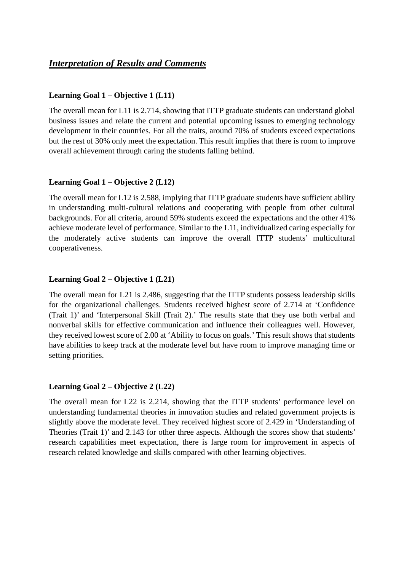## *Interpretation of Results and Comments*

## **Learning Goal 1 – Objective 1 (L11)**

The overall mean for L11 is 2.714, showing that ITTP graduate students can understand global business issues and relate the current and potential upcoming issues to emerging technology development in their countries. For all the traits, around 70% of students exceed expectations but the rest of 30% only meet the expectation. This result implies that there is room to improve overall achievement through caring the students falling behind.

## **Learning Goal 1 – Objective 2 (L12)**

The overall mean for L12 is 2.588, implying that ITTP graduate students have sufficient ability in understanding multi-cultural relations and cooperating with people from other cultural backgrounds. For all criteria, around 59% students exceed the expectations and the other 41% achieve moderate level of performance. Similar to the L11, individualized caring especially for the moderately active students can improve the overall ITTP students' multicultural cooperativeness.

## **Learning Goal 2 – Objective 1 (L21)**

The overall mean for L21 is 2.486, suggesting that the ITTP students possess leadership skills for the organizational challenges. Students received highest score of 2.714 at 'Confidence (Trait 1)' and 'Interpersonal Skill (Trait 2).' The results state that they use both verbal and nonverbal skills for effective communication and influence their colleagues well. However, they received lowest score of 2.00 at 'Ability to focus on goals.' This result shows that students have abilities to keep track at the moderate level but have room to improve managing time or setting priorities.

#### **Learning Goal 2 – Objective 2 (L22)**

The overall mean for L22 is 2.214, showing that the ITTP students' performance level on understanding fundamental theories in innovation studies and related government projects is slightly above the moderate level. They received highest score of 2.429 in 'Understanding of Theories (Trait 1)' and 2.143 for other three aspects. Although the scores show that students' research capabilities meet expectation, there is large room for improvement in aspects of research related knowledge and skills compared with other learning objectives.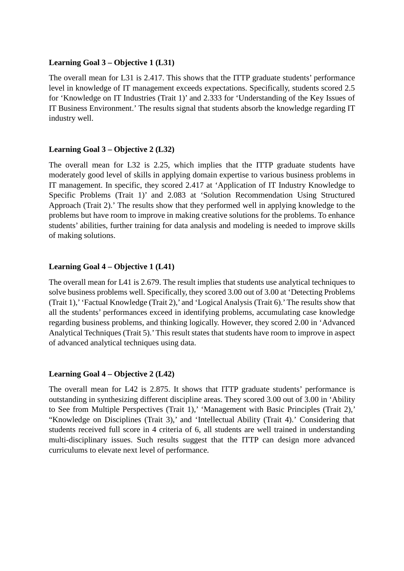#### **Learning Goal 3 – Objective 1 (L31)**

The overall mean for L31 is 2.417. This shows that the ITTP graduate students' performance level in knowledge of IT management exceeds expectations. Specifically, students scored 2.5 for 'Knowledge on IT Industries (Trait 1)' and 2.333 for 'Understanding of the Key Issues of IT Business Environment.' The results signal that students absorb the knowledge regarding IT industry well.

## **Learning Goal 3 – Objective 2 (L32)**

The overall mean for L32 is 2.25, which implies that the ITTP graduate students have moderately good level of skills in applying domain expertise to various business problems in IT management. In specific, they scored 2.417 at 'Application of IT Industry Knowledge to Specific Problems (Trait 1)' and 2.083 at 'Solution Recommendation Using Structured Approach (Trait 2).' The results show that they performed well in applying knowledge to the problems but have room to improve in making creative solutions for the problems. To enhance students' abilities, further training for data analysis and modeling is needed to improve skills of making solutions.

## **Learning Goal 4 – Objective 1 (L41)**

The overall mean for L41 is 2.679. The result implies that students use analytical techniques to solve business problems well. Specifically, they scored 3.00 out of 3.00 at 'Detecting Problems (Trait 1),' 'Factual Knowledge (Trait 2),' and 'Logical Analysis (Trait 6).'The results show that all the students' performances exceed in identifying problems, accumulating case knowledge regarding business problems, and thinking logically. However, they scored 2.00 in 'Advanced Analytical Techniques (Trait 5).' This result states that students have room to improve in aspect of advanced analytical techniques using data.

#### **Learning Goal 4 – Objective 2 (L42)**

The overall mean for L42 is 2.875. It shows that ITTP graduate students' performance is outstanding in synthesizing different discipline areas. They scored 3.00 out of 3.00 in 'Ability to See from Multiple Perspectives (Trait 1),' 'Management with Basic Principles (Trait 2),' "Knowledge on Disciplines (Trait 3),' and 'Intellectual Ability (Trait 4).' Considering that students received full score in 4 criteria of 6, all students are well trained in understanding multi-disciplinary issues. Such results suggest that the ITTP can design more advanced curriculums to elevate next level of performance.